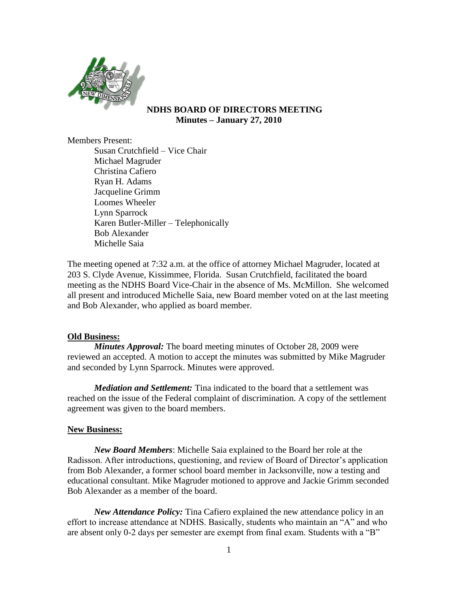

## **NDHS BOARD OF DIRECTORS MEETING Minutes – January 27, 2010**

Members Present:

Susan Crutchfield – Vice Chair Michael Magruder Christina Cafiero Ryan H. Adams Jacqueline Grimm Loomes Wheeler Lynn Sparrock Karen Butler-Miller – Telephonically Bob Alexander Michelle Saia

The meeting opened at 7:32 a.m. at the office of attorney Michael Magruder, located at 203 S. Clyde Avenue, Kissimmee, Florida. Susan Crutchfield, facilitated the board meeting as the NDHS Board Vice-Chair in the absence of Ms. McMillon. She welcomed all present and introduced Michelle Saia, new Board member voted on at the last meeting and Bob Alexander, who applied as board member.

## **Old Business:**

*Minutes Approval:* The board meeting minutes of October 28, 2009 were reviewed an accepted. A motion to accept the minutes was submitted by Mike Magruder and seconded by Lynn Sparrock. Minutes were approved.

*Mediation and Settlement:* Tina indicated to the board that a settlement was reached on the issue of the Federal complaint of discrimination. A copy of the settlement agreement was given to the board members.

## **New Business:**

*New Board Members*: Michelle Saia explained to the Board her role at the Radisson. After introductions, questioning, and review of Board of Director's application from Bob Alexander, a former school board member in Jacksonville, now a testing and educational consultant. Mike Magruder motioned to approve and Jackie Grimm seconded Bob Alexander as a member of the board.

*New Attendance Policy:* Tina Cafiero explained the new attendance policy in an effort to increase attendance at NDHS. Basically, students who maintain an "A" and who are absent only 0-2 days per semester are exempt from final exam. Students with a "B"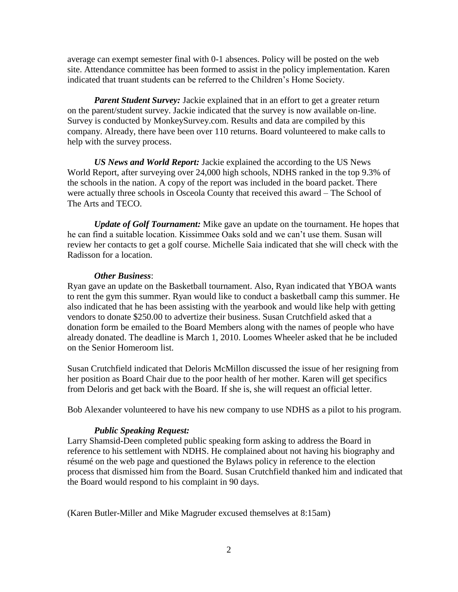average can exempt semester final with 0-1 absences. Policy will be posted on the web site. Attendance committee has been formed to assist in the policy implementation. Karen indicated that truant students can be referred to the Children's Home Society.

*Parent Student Survey:* Jackie explained that in an effort to get a greater return on the parent/student survey. Jackie indicated that the survey is now available on-line. Survey is conducted by MonkeySurvey.com. Results and data are compiled by this company. Already, there have been over 110 returns. Board volunteered to make calls to help with the survey process.

*US News and World Report:* Jackie explained the according to the US News World Report, after surveying over 24,000 high schools, NDHS ranked in the top 9.3% of the schools in the nation. A copy of the report was included in the board packet. There were actually three schools in Osceola County that received this award – The School of The Arts and TECO.

*Update of Golf Tournament:* Mike gave an update on the tournament. He hopes that he can find a suitable location. Kissimmee Oaks sold and we can't use them. Susan will review her contacts to get a golf course. Michelle Saia indicated that she will check with the Radisson for a location.

#### *Other Business*:

Ryan gave an update on the Basketball tournament. Also, Ryan indicated that YBOA wants to rent the gym this summer. Ryan would like to conduct a basketball camp this summer. He also indicated that he has been assisting with the yearbook and would like help with getting vendors to donate \$250.00 to advertize their business. Susan Crutchfield asked that a donation form be emailed to the Board Members along with the names of people who have already donated. The deadline is March 1, 2010. Loomes Wheeler asked that he be included on the Senior Homeroom list.

Susan Crutchfield indicated that Deloris McMillon discussed the issue of her resigning from her position as Board Chair due to the poor health of her mother. Karen will get specifics from Deloris and get back with the Board. If she is, she will request an official letter.

Bob Alexander volunteered to have his new company to use NDHS as a pilot to his program.

#### *Public Speaking Request:*

Larry Shamsid-Deen completed public speaking form asking to address the Board in reference to his settlement with NDHS. He complained about not having his biography and résumé on the web page and questioned the Bylaws policy in reference to the election process that dismissed him from the Board. Susan Crutchfield thanked him and indicated that the Board would respond to his complaint in 90 days.

(Karen Butler-Miller and Mike Magruder excused themselves at 8:15am)